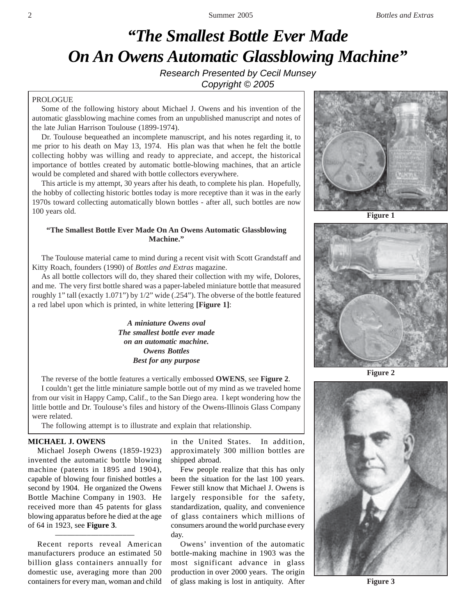# *"The Smallest Bottle Ever Made On An Owens Automatic Glassblowing Machine"*

*Research Presented by Cecil Munsey Copyright © 2005*

# PROLOGUE

Some of the following history about Michael J. Owens and his invention of the automatic glassblowing machine comes from an unpublished manuscript and notes of the late Julian Harrison Toulouse (1899-1974).

Dr. Toulouse bequeathed an incomplete manuscript, and his notes regarding it, to me prior to his death on May 13, 1974. His plan was that when he felt the bottle collecting hobby was willing and ready to appreciate, and accept, the historical importance of bottles created by automatic bottle-blowing machines, that an article would be completed and shared with bottle collectors everywhere.

This article is my attempt, 30 years after his death, to complete his plan. Hopefully, the hobby of collecting historic bottles today is more receptive than it was in the early 1970s toward collecting automatically blown bottles - after all, such bottles are now 100 years old.

# **"The Smallest Bottle Ever Made On An Owens Automatic Glassblowing Machine."**

The Toulouse material came to mind during a recent visit with Scott Grandstaff and Kitty Roach, founders (1990) of *Bottles and Extras* magazine.

As all bottle collectors will do, they shared their collection with my wife, Dolores, and me. The very first bottle shared was a paper-labeled miniature bottle that measured roughly 1" tall (exactly 1.071") by 1/2" wide (.254"). The obverse of the bottle featured a red label upon which is printed, in white lettering **[Figure 1]**:

> *A miniature Owens oval The smallest bottle ever made on an automatic machine. Owens Bottles Best for any purpose*

The reverse of the bottle features a vertically embossed **OWENS**, see **Figure 2**. I couldn't get the little miniature sample bottle out of my mind as we traveled home from our visit in Happy Camp, Calif., to the San Diego area. I kept wondering how the little bottle and Dr. Toulouse's files and history of the Owens-Illinois Glass Company were related.

The following attempt is to illustrate and explain that relationship.

### **MICHAEL J. OWENS**

Michael Joseph Owens (1859-1923) invented the automatic bottle blowing machine (patents in 1895 and 1904), capable of blowing four finished bottles a second by 1904. He organized the Owens Bottle Machine Company in 1903. He received more than 45 patents for glass blowing apparatus before he died at the age of 64 in 1923, see **Figure 3**.

Recent reports reveal American manufacturers produce an estimated 50 billion glass containers annually for domestic use, averaging more than 200

––––––––––––––––––––

in the United States. In addition, approximately 300 million bottles are shipped abroad.

Few people realize that this has only been the situation for the last 100 years. Fewer still know that Michael J. Owens is largely responsible for the safety, standardization, quality, and convenience of glass containers which millions of consumers around the world purchase every day.

containers for every man, woman and child of glass making is lost in antiquity. After **Figure 3** Owens' invention of the automatic bottle-making machine in 1903 was the most significant advance in glass production in over 2000 years. The origin



**Figure 1**





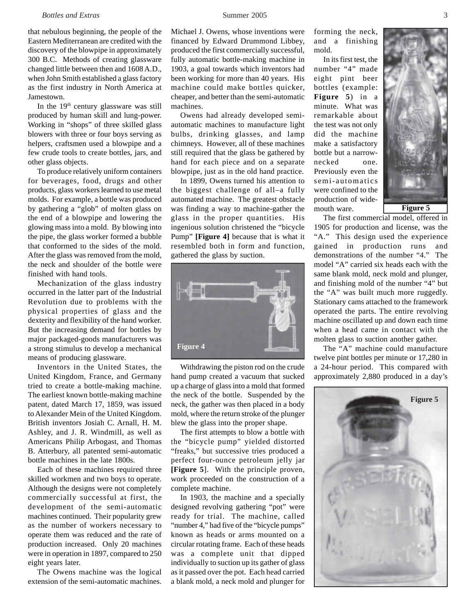#### *Bottles and Extras* 3 **3 Summer 2005** 3 **3**

that nebulous beginning, the people of the Eastern Mediterranean are credited with the discovery of the blowpipe in approximately 300 B.C. Methods of creating glassware changed little between then and 1608 A.D., when John Smith established a glass factory as the first industry in North America at Jamestown.

In the  $19<sup>th</sup>$  century glassware was still produced by human skill and lung-power. Working in "shops" of three skilled glass blowers with three or four boys serving as helpers, craftsmen used a blowpipe and a few crude tools to create bottles, jars, and other glass objects.

To produce relatively uniform containers for beverages, food, drugs and other products, glass workers learned to use metal molds. For example, a bottle was produced by gathering a "glob" of molten glass on the end of a blowpipe and lowering the glowing mass into a mold. By blowing into the pipe, the glass worker formed a bubble that conformed to the sides of the mold. After the glass was removed from the mold, the neck and shoulder of the bottle were finished with hand tools.

Mechanization of the glass industry occurred in the latter part of the Industrial Revolution due to problems with the physical properties of glass and the dexterity and flexibility of the hand worker. But the increasing demand for bottles by major packaged-goods manufacturers was a strong stimulus to develop a mechanical means of producing glassware.

Inventors in the United States, the United Kingdom, France, and Germany tried to create a bottle-making machine. The earliest known bottle-making machine patent, dated March 17, 1859, was issued to Alexander Mein of the United Kingdom. British inventors Josiah C. Arnall, H. M. Ashley, and J. R. Windmill, as well as Americans Philip Arbogast, and Thomas B. Atterbury, all patented semi-automatic bottle machines in the late 1800s.

Each of these machines required three skilled workmen and two boys to operate. Although the designs were not completely commercially successful at first, the development of the semi-automatic machines continued. Their popularity grew as the number of workers necessary to operate them was reduced and the rate of production increased. Only 20 machines were in operation in 1897, compared to 250 eight years later.

The Owens machine was the logical extension of the semi-automatic machines. Michael J. Owens, whose inventions were financed by Edward Drummond Libbey, produced the first commercially successful, fully automatic bottle-making machine in 1903, a goal towards which inventors had been working for more than 40 years. His machine could make bottles quicker, cheaper, and better than the semi-automatic machines.

Owens had already developed semiautomatic machines to manufacture light bulbs, drinking glasses, and lamp chimneys. However, all of these machines still required that the glass be gathered by hand for each piece and on a separate blowpipe, just as in the old hand practice.

In 1899, Owens turned his attention to the biggest challenge of all–a fully automated machine. The greatest obstacle was finding a way to machine-gather the glass in the proper quantities. His ingenious solution christened the "bicycle Pump" **[Figure 4]** because that is what it resembled both in form and function, gathered the glass by suction.



Withdrawing the piston rod on the crude hand pump created a vacuum that sucked up a charge of glass into a mold that formed the neck of the bottle. Suspended by the neck, the gather was then placed in a body mold, where the return stroke of the plunger blew the glass into the proper shape.

The first attempts to blow a bottle with the "bicycle pump" yielded distorted "freaks," but successive tries produced a perfect four-ounce petroleum jelly jar **[Figure 5**]. With the principle proven, work proceeded on the construction of a complete machine.

In 1903, the machine and a specially designed revolving gathering "pot" were ready for trial. The machine, called "number 4," had five of the "bicycle pumps" known as heads or arms mounted on a circular rotating frame. Each of these heads was a complete unit that dipped individually to suction up its gather of glass as it passed over the pot. Each head carried a blank mold, a neck mold and plunger for forming the neck, and a finishing mold.

In its first test, the number "4" made eight pint beer bottles (example: **Figure 5**) in a minute. What was remarkable about the test was not only did the machine make a satisfactory bottle but a narrownecked one. Previously even the semi-automatics were confined to the production of widemouth ware.



The first commercial model, offered in 1905 for production and license, was the "A." This design used the experience gained in production runs and demonstrations of the number "4." The model "A" carried six heads each with the same blank mold, neck mold and plunger, and finishing mold of the number "4" but the "A" was built much more ruggedly. Stationary cams attached to the framework operated the parts. The entire revolving machine oscillated up and down each time when a head came in contact with the molten glass to suction another gather.

The "A" machine could manufacture twelve pint bottles per minute or 17,280 in a 24-hour period. This compared with approximately 2,880 produced in a day's

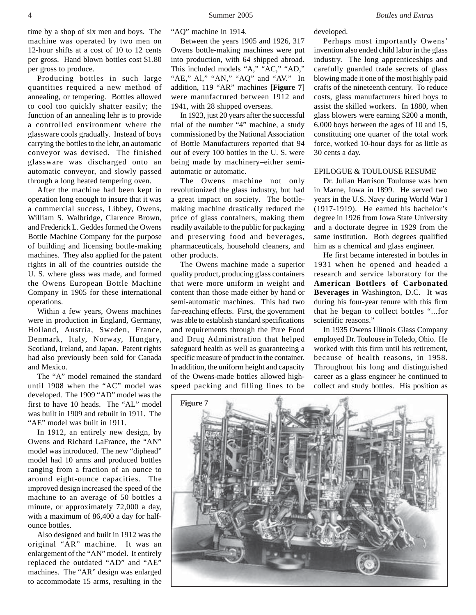4 Summer 2005 *Bottles and Extras*

time by a shop of six men and boys. The machine was operated by two men on 12-hour shifts at a cost of 10 to 12 cents per gross. Hand blown bottles cost \$1.80 per gross to produce.

Producing bottles in such large quantities required a new method of annealing, or tempering. Bottles allowed to cool too quickly shatter easily; the function of an annealing lehr is to provide a controlled environment where the glassware cools gradually. Instead of boys carrying the bottles to the lehr, an automatic conveyor was devised. The finished glassware was discharged onto an automatic conveyor, and slowly passed through a long heated tempering oven.

After the machine had been kept in operation long enough to insure that it was a commercial success, Libbey, Owens, William S. Walbridge, Clarence Brown, and Frederick L. Geddes formed the Owens Bottle Machine Company for the purpose of building and licensing bottle-making machines. They also applied for the patent rights in all of the countries outside the U. S. where glass was made, and formed the Owens European Bottle Machine Company in 1905 for these international operations.

Within a few years, Owens machines were in production in England, Germany, Holland, Austria, Sweden, France, Denmark, Italy, Norway, Hungary, Scotland, Ireland, and Japan. Patent rights had also previously been sold for Canada and Mexico.

The "A" model remained the standard until 1908 when the "AC" model was developed. The 1909 "AD" model was the first to have 10 heads. The "AL" model was built in 1909 and rebuilt in 1911. The "AE" model was built in 1911.

In 1912, an entirely new design, by Owens and Richard LaFrance, the "AN" model was introduced. The new "diphead" model had 10 arms and produced bottles ranging from a fraction of an ounce to around eight-ounce capacities. The improved design increased the speed of the machine to an average of 50 bottles a minute, or approximately 72,000 a day, with a maximum of 86,400 a day for halfounce bottles.

Also designed and built in 1912 was the original "AR" machine. It was an enlargement of the "AN" model. It entirely replaced the outdated "AD" and "AE" machines. The "AR" design was enlarged to accommodate 15 arms, resulting in the

"AQ" machine in 1914.

Between the years 1905 and 1926, 317 Owens bottle-making machines were put into production, with 64 shipped abroad. This included models "A," "AC," "AD," "AE," Al," "AN," "AQ" and "AV." In addition, 119 "AR" machines **[Figure 7**] were manufactured between 1912 and 1941, with 28 shipped overseas.

In 1923, just 20 years after the successful trial of the number "4" machine, a study commissioned by the National Association of Bottle Manufacturers reported that 94 out of every 100 bottles in the U. S. were being made by machinery–either semiautomatic or automatic.

The Owens machine not only revolutionized the glass industry, but had a great impact on society. The bottlemaking machine drastically reduced the price of glass containers, making them readily available to the public for packaging and preserving food and beverages, pharmaceuticals, household cleaners, and other products.

The Owens machine made a superior quality product, producing glass containers that were more uniform in weight and content than those made either by hand or semi-automatic machines. This had two far-reaching effects. First, the government was able to establish standard specifications and requirements through the Pure Food and Drug Administration that helped safeguard health as well as guaranteeing a specific measure of product in the container. In addition, the uniform height and capacity of the Owens-made bottles allowed highspeed packing and filling lines to be

developed.

Perhaps most importantly Owens' invention also ended child labor in the glass industry. The long apprenticeships and carefully guarded trade secrets of glass blowing made it one of the most highly paid crafts of the nineteenth century. To reduce costs, glass manufacturers hired boys to assist the skilled workers. In 1880, when glass blowers were earning \$200 a month, 6,000 boys between the ages of 10 and 15, constituting one quarter of the total work force, worked 10-hour days for as little as 30 cents a day.

# EPILOGUE & TOULOUSE RESUME

Dr. Julian Harrison Toulouse was born in Marne, Iowa in 1899. He served two years in the U.S. Navy during World War I (1917-1919). He earned his bachelor's degree in 1926 from Iowa State University and a doctorate degree in 1929 from the same institution. Both degrees qualified him as a chemical and glass engineer.

He first became interested in bottles in 1931 when he opened and headed a research and service laboratory for the **American Bottlers of Carbonated Beverages** in Washington, D.C. It was during his four-year tenure with this firm that he began to collect bottles "...for scientific reasons."

In 1935 Owens Illinois Glass Company employed Dr. Toulouse in Toledo, Ohio. He worked with this firm until his retirement, because of health reasons, in 1958. Throughout his long and distinguished career as a glass engineer he continued to collect and study bottles. His position as